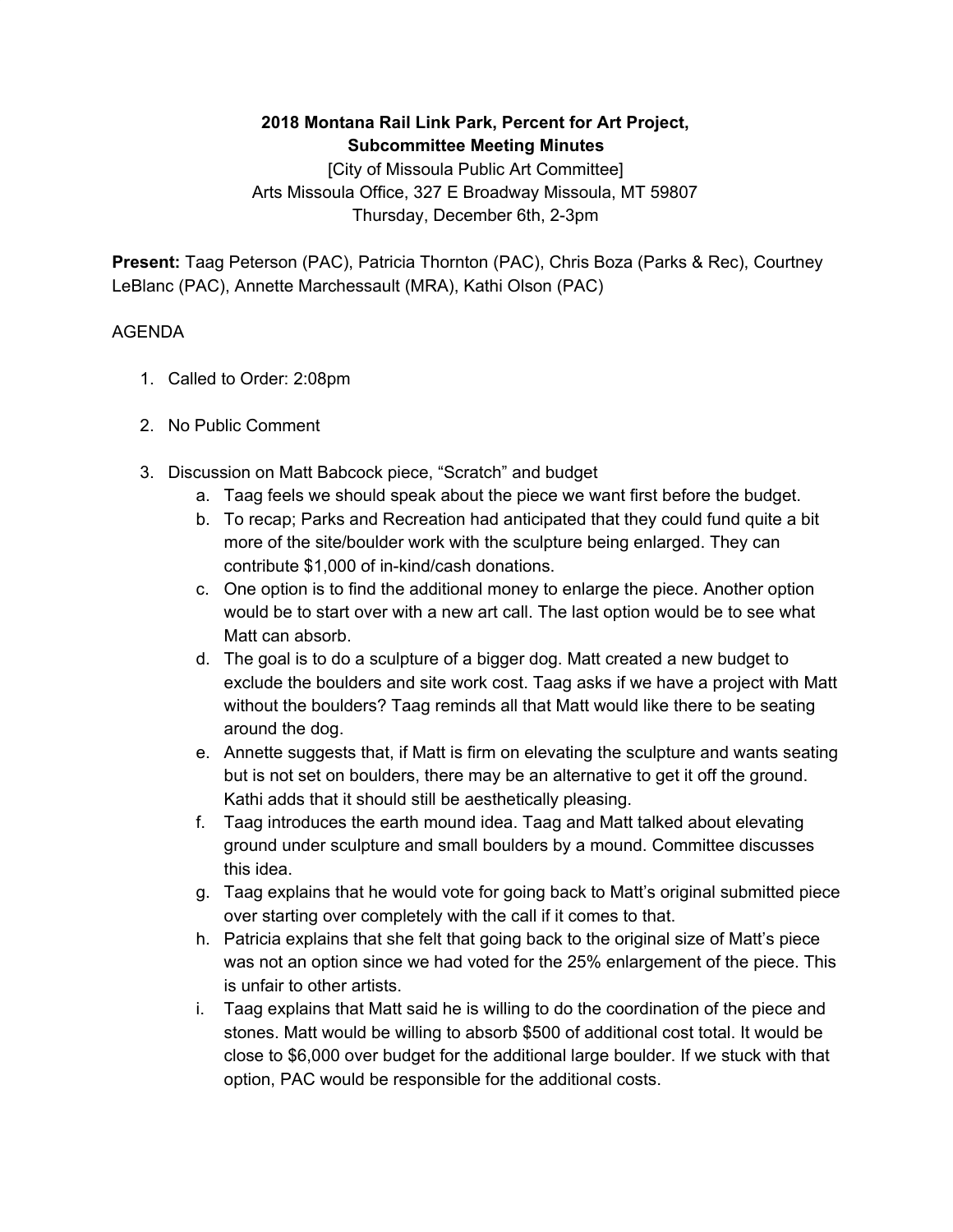## **2018 Montana Rail Link Park, Percent for Art Project, Subcommittee Meeting Minutes**

[City of Missoula Public Art Committee] Arts Missoula Office, 327 E Broadway Missoula, MT 59807 Thursday, December 6th, 2-3pm

**Present:** Taag Peterson (PAC), Patricia Thornton (PAC), Chris Boza (Parks & Rec), Courtney LeBlanc (PAC), Annette Marchessault (MRA), Kathi Olson (PAC)

## AGENDA

- 1. Called to Order: 2:08pm
- 2. No Public Comment
- 3. Discussion on Matt Babcock piece, "Scratch" and budget
	- a. Taag feels we should speak about the piece we want first before the budget.
	- b. To recap; Parks and Recreation had anticipated that they could fund quite a bit more of the site/boulder work with the sculpture being enlarged. They can contribute \$1,000 of in-kind/cash donations.
	- c. One option is to find the additional money to enlarge the piece. Another option would be to start over with a new art call. The last option would be to see what Matt can absorb.
	- d. The goal is to do a sculpture of a bigger dog. Matt created a new budget to exclude the boulders and site work cost. Taag asks if we have a project with Matt without the boulders? Taag reminds all that Matt would like there to be seating around the dog.
	- e. Annette suggests that, if Matt is firm on elevating the sculpture and wants seating but is not set on boulders, there may be an alternative to get it off the ground. Kathi adds that it should still be aesthetically pleasing.
	- f. Taag introduces the earth mound idea. Taag and Matt talked about elevating ground under sculpture and small boulders by a mound. Committee discusses this idea.
	- g. Taag explains that he would vote for going back to Matt's original submitted piece over starting over completely with the call if it comes to that.
	- h. Patricia explains that she felt that going back to the original size of Matt's piece was not an option since we had voted for the 25% enlargement of the piece. This is unfair to other artists.
	- i. Taag explains that Matt said he is willing to do the coordination of the piece and stones. Matt would be willing to absorb \$500 of additional cost total. It would be close to \$6,000 over budget for the additional large boulder. If we stuck with that option, PAC would be responsible for the additional costs.